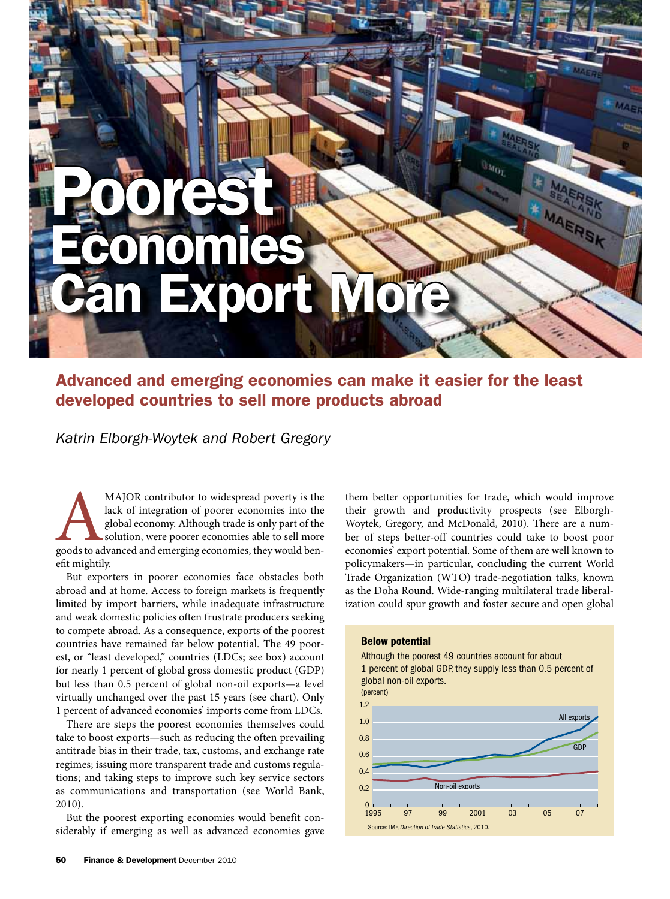# Poorest Poorest **IN HILLER** Economies Economies **Bunn** Can Export More Can Export More

# Advanced and emerging economies can make it easier for the least developed countries to sell more products abroad

*Katrin Elborgh-Woytek and Robert Gregory*

MAJOR contributor to widespread poverty is the lack of integration of poorer economies into the global economy. Although trade is only part of the solution, were poorer economies able to sell more goods to advanced and eme lack of integration of poorer economies into the global economy. Although trade is only part of the solution, were poorer economies able to sell more efit mightily.

But exporters in poorer economies face obstacles both abroad and at home. Access to foreign markets is frequently limited by import barriers, while inadequate infrastructure and weak domestic policies often frustrate producers seeking to compete abroad. As a consequence, exports of the poorest countries have remained far below potential. The 49 poorest, or "least developed," countries (LDCs; see box) account for nearly 1 percent of global gross domestic product (GDP) but less than 0.5 percent of global non-oil exports—a level virtually unchanged over the past 15 years (see chart). Only 1 percent of advanced economies' imports come from LDCs.

There are steps the poorest economies themselves could take to boost exports—such as reducing the often prevailing antitrade bias in their trade, tax, customs, and exchange rate regimes; issuing more transparent trade and customs regulations; and taking steps to improve such key service sectors as communications and transportation (see World Bank, 2010).

But the poorest exporting economies would benefit considerably if emerging as well as advanced economies gave

them better opportunities for trade, which would improve their growth and productivity prospects (see Elborgh-Woytek, Gregory, and McDonald, 2010). There are a number of steps better-off countries could take to boost poor economies' export potential. Some of them are well known to policymakers—in particular, concluding the current World Trade Organization (WTO) trade-negotiation talks, known as the Doha Round. Wide-ranging multilateral trade liberalization could spur growth and foster secure and open global

## Below potential

Although the poorest 49 countries account for about 1 percent of global GDP, they supply less than 0.5 percent of global non-oil exports.

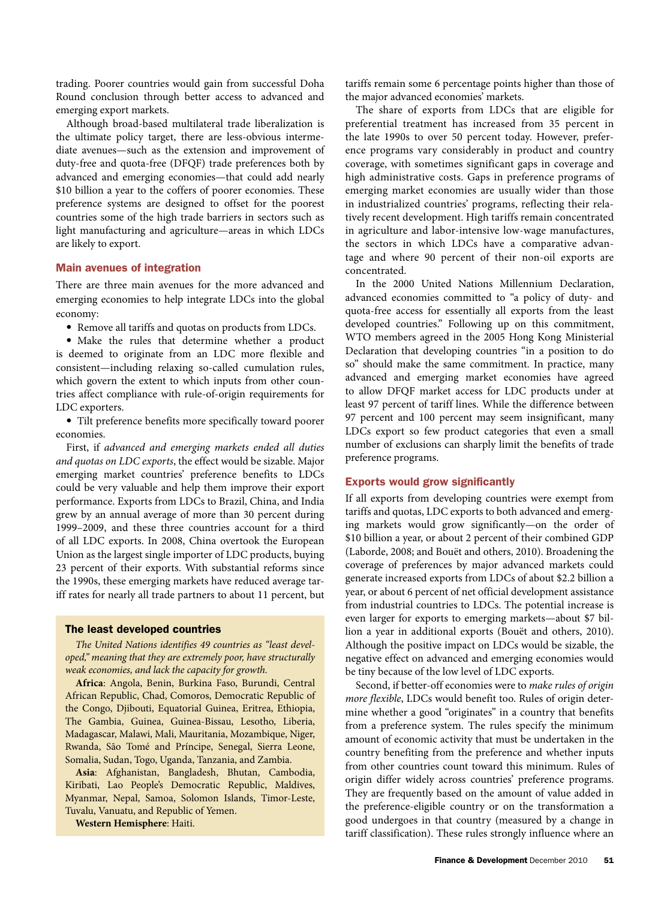trading. Poorer countries would gain from successful Doha Round conclusion through better access to advanced and emerging export markets.

Although broad-based multilateral trade liberalization is the ultimate policy target, there are less-obvious intermediate avenues—such as the extension and improvement of duty-free and quota-free (DFQF) trade preferences both by advanced and emerging economies—that could add nearly \$10 billion a year to the coffers of poorer economies. These preference systems are designed to offset for the poorest countries some of the high trade barriers in sectors such as light manufacturing and agriculture—areas in which LDCs are likely to export.

# Main avenues of integration

There are three main avenues for the more advanced and emerging economies to help integrate LDCs into the global economy:

• Remove all tariffs and quotas on products from LDCs.

• Make the rules that determine whether a product is deemed to originate from an LDC more flexible and consistent—including relaxing so-called cumulation rules, which govern the extent to which inputs from other countries affect compliance with rule-of-origin requirements for LDC exporters.

• Tilt preference benefits more specifically toward poorer economies.

First, if *advanced and emerging markets ended all duties and quotas on LDC exports*, the effect would be sizable. Major emerging market countries' preference benefits to LDCs could be very valuable and help them improve their export performance. Exports from LDCs to Brazil, China, and India grew by an annual average of more than 30 percent during 1999–2009, and these three countries account for a third of all LDC exports. In 2008, China overtook the European Union as the largest single importer of LDC products, buying 23 percent of their exports. With substantial reforms since the 1990s, these emerging markets have reduced average tariff rates for nearly all trade partners to about 11 percent, but

#### The least developed countries

*The United Nations identifies 49 countries as "least developed," meaning that they are extremely poor, have structurally weak economies, and lack the capacity for growth.*

**Africa**: Angola, Benin, Burkina Faso, Burundi, Central African Republic, Chad, Comoros, Democratic Republic of the Congo, Djibouti, Equatorial Guinea, Eritrea, Ethiopia, The Gambia, Guinea, Guinea-Bissau, Lesotho, Liberia, Madagascar, Malawi, Mali, Mauritania, Mozambique, Niger, Rwanda, São Tomé and Príncipe, Senegal, Sierra Leone, Somalia, Sudan, Togo, Uganda, Tanzania, and Zambia.

**Asia**: Afghanistan, Bangladesh, Bhutan, Cambodia, Kiribati, Lao People's Democratic Republic, Maldives, Myanmar, Nepal, Samoa, Solomon Islands, Timor-Leste, Tuvalu, Vanuatu, and Republic of Yemen.

**Western Hemisphere**: Haiti.

tariffs remain some 6 percentage points higher than those of the major advanced economies' markets.

The share of exports from LDCs that are eligible for preferential treatment has increased from 35 percent in the late 1990s to over 50 percent today. However, preference programs vary considerably in product and country coverage, with sometimes significant gaps in coverage and high administrative costs. Gaps in preference programs of emerging market economies are usually wider than those in industrialized countries' programs, reflecting their relatively recent development. High tariffs remain concentrated in agriculture and labor-intensive low-wage manufactures, the sectors in which LDCs have a comparative advantage and where 90 percent of their non-oil exports are concentrated.

In the 2000 United Nations Millennium Declaration, advanced economies committed to "a policy of duty- and quota-free access for essentially all exports from the least developed countries." Following up on this commitment, WTO members agreed in the 2005 Hong Kong Ministerial Declaration that developing countries "in a position to do so" should make the same commitment. In practice, many advanced and emerging market economies have agreed to allow DFQF market access for LDC products under at least 97 percent of tariff lines. While the difference between 97 percent and 100 percent may seem insignificant, many LDCs export so few product categories that even a small number of exclusions can sharply limit the benefits of trade preference programs.

# Exports would grow significantly

If all exports from developing countries were exempt from tariffs and quotas, LDC exports to both advanced and emerging markets would grow significantly—on the order of \$10 billion a year, or about 2 percent of their combined GDP (Laborde, 2008; and Bouët and others, 2010). Broadening the coverage of preferences by major advanced markets could generate increased exports from LDCs of about \$2.2 billion a year, or about 6 percent of net official development assistance from industrial countries to LDCs. The potential increase is even larger for exports to emerging markets—about \$7 billion a year in additional exports (Bouët and others, 2010). Although the positive impact on LDCs would be sizable, the negative effect on advanced and emerging economies would be tiny because of the low level of LDC exports.

Second, if better-off economies were to *make rules of origin more flexible*, LDCs would benefit too. Rules of origin determine whether a good "originates" in a country that benefits from a preference system. The rules specify the minimum amount of economic activity that must be undertaken in the country benefiting from the preference and whether inputs from other countries count toward this minimum. Rules of origin differ widely across countries' preference programs. They are frequently based on the amount of value added in the preference-eligible country or on the transformation a good undergoes in that country (measured by a change in tariff classification). These rules strongly influence where an